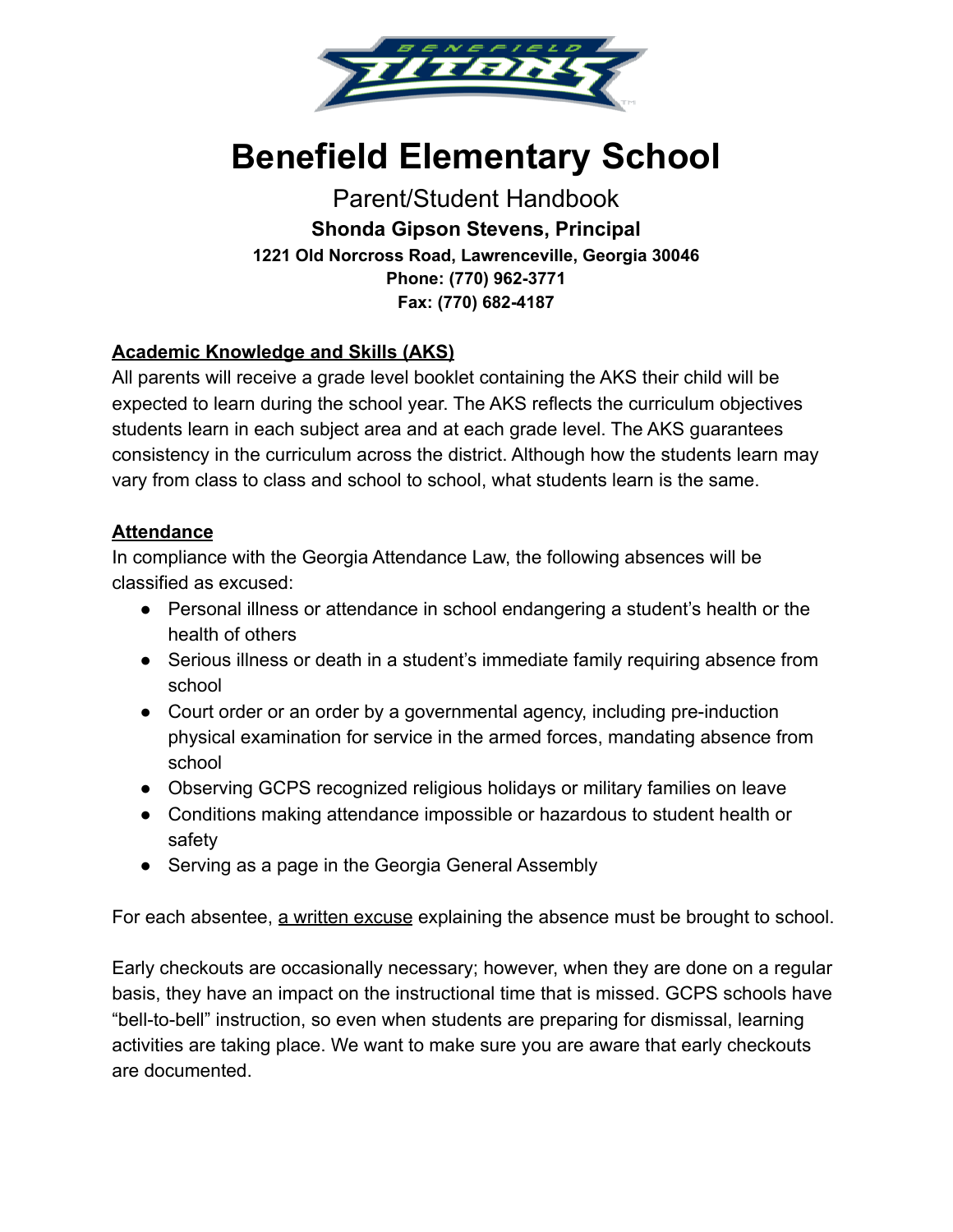

# **Benefield Elementary School**

Parent/Student Handbook **Shonda Gipson Stevens, Principal 1221 Old Norcross Road, Lawrenceville, Georgia 30046 Phone: (770) 962-3771 Fax: (770) 682-4187**

## **Academic Knowledge and Skills (AKS)**

All parents will receive a grade level booklet containing the AKS their child will be expected to learn during the school year. The AKS reflects the curriculum objectives students learn in each subject area and at each grade level. The AKS guarantees consistency in the curriculum across the district. Although how the students learn may vary from class to class and school to school, what students learn is the same.

## **Attendance**

In compliance with the Georgia Attendance Law, the following absences will be classified as excused:

- Personal illness or attendance in school endangering a student's health or the health of others
- Serious illness or death in a student's immediate family requiring absence from school
- Court order or an order by a governmental agency, including pre-induction physical examination for service in the armed forces, mandating absence from school
- Observing GCPS recognized religious holidays or military families on leave
- Conditions making attendance impossible or hazardous to student health or safety
- Serving as a page in the Georgia General Assembly

For each absentee, a written excuse explaining the absence must be brought to school.

Early checkouts are occasionally necessary; however, when they are done on a regular basis, they have an impact on the instructional time that is missed. GCPS schools have "bell-to-bell" instruction, so even when students are preparing for dismissal, learning activities are taking place. We want to make sure you are aware that early checkouts are documented.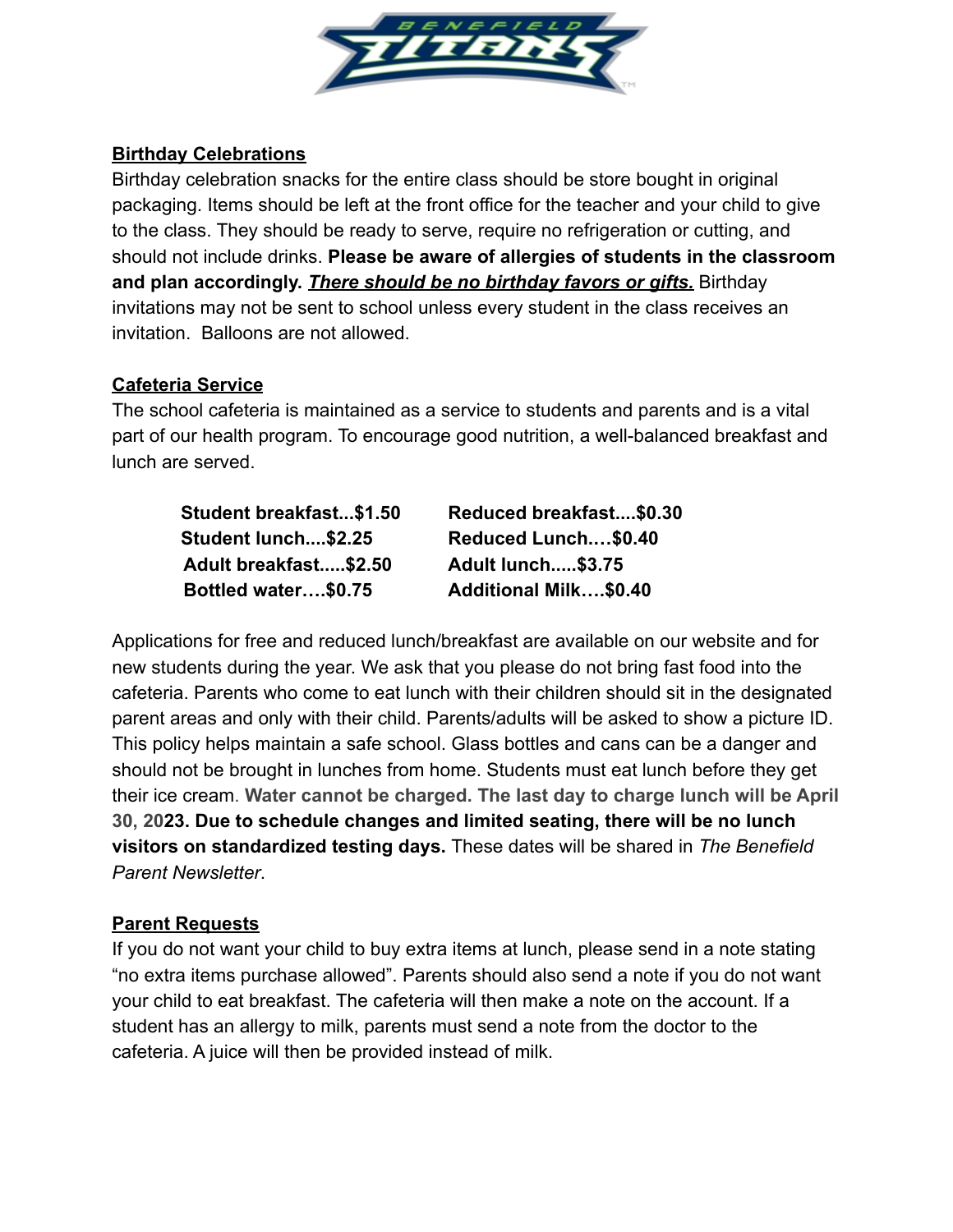

## **Birthday Celebrations**

Birthday celebration snacks for the entire class should be store bought in original packaging. Items should be left at the front office for the teacher and your child to give to the class. They should be ready to serve, require no refrigeration or cutting, and should not include drinks. **Please be aware of allergies of students in the classroom and plan accordingly.** *There should be no birthday favors or gifts.* Birthday invitations may not be sent to school unless every student in the class receives an invitation. Balloons are not allowed.

## **Cafeteria Service**

The school cafeteria is maintained as a service to students and parents and is a vital part of our health program. To encourage good nutrition, a well-balanced breakfast and lunch are served.

| Student breakfast\$1.50                                    | Reduced breakfast\$0.30                  |
|------------------------------------------------------------|------------------------------------------|
| <b>Student lunch\$2.25</b><br><b>Adult breakfast\$2.50</b> | Reduced Lunch\$0.40<br>Adult lunch\$3.75 |
|                                                            |                                          |

Applications for free and reduced lunch/breakfast are available on our website and for new students during the year. We ask that you please do not bring fast food into the cafeteria. Parents who come to eat lunch with their children should sit in the designated parent areas and only with their child. Parents/adults will be asked to show a picture ID. This policy helps maintain a safe school. Glass bottles and cans can be a danger and should not be brought in lunches from home. Students must eat lunch before they get their ice cream. **Water cannot be charged. The last day to charge lunch will be April 30, 2023. Due to schedule changes and limited seating, there will be no lunch visitors on standardized testing days.** These dates will be shared in *The Benefield Parent Newsletter*.

## **Parent Requests**

If you do not want your child to buy extra items at lunch, please send in a note stating "no extra items purchase allowed". Parents should also send a note if you do not want your child to eat breakfast. The cafeteria will then make a note on the account. If a student has an allergy to milk, parents must send a note from the doctor to the cafeteria. A juice will then be provided instead of milk.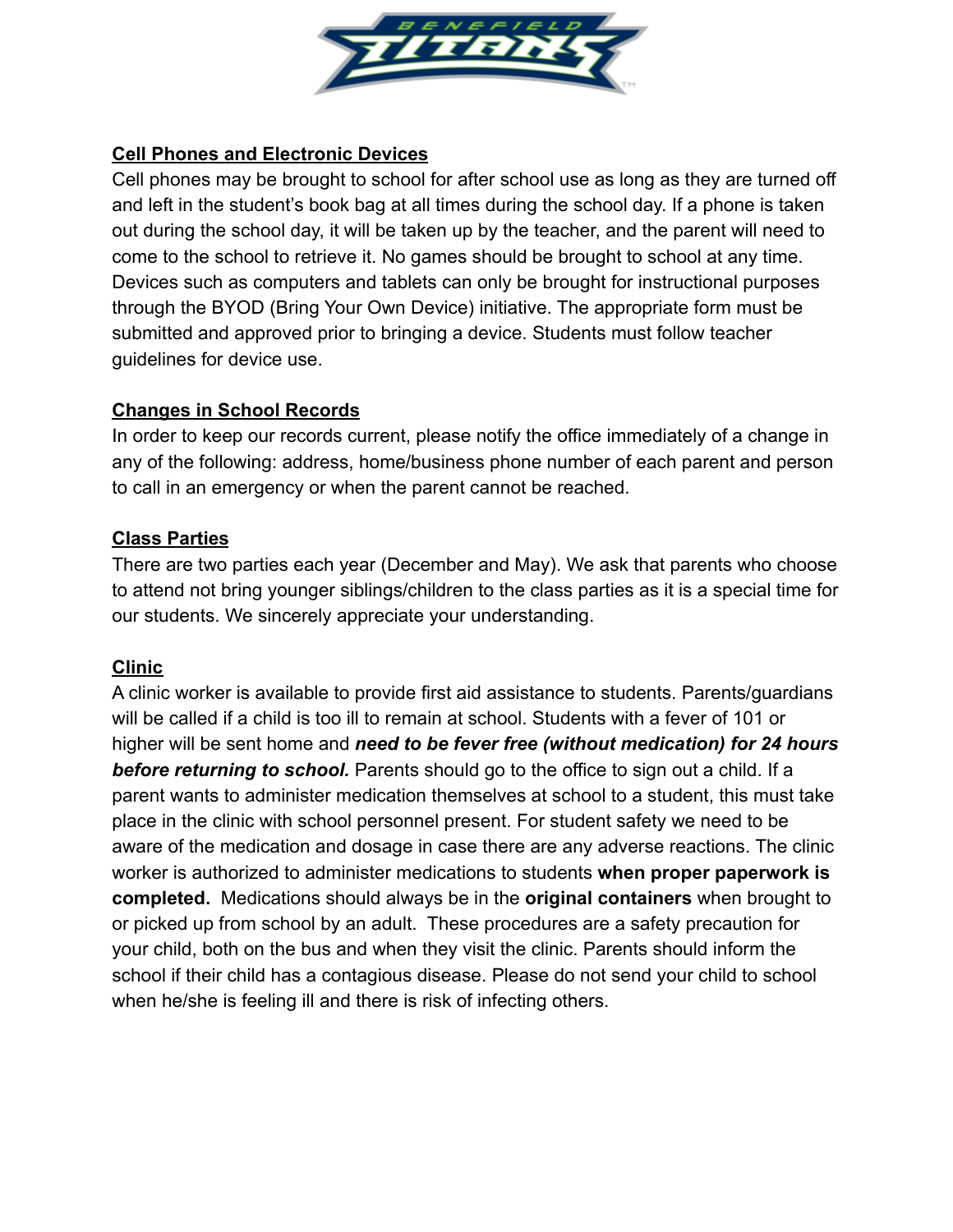

## **Cell Phones and Electronic Devices**

Cell phones may be brought to school for after school use as long as they are turned off and left in the student's book bag at all times during the school day. If a phone is taken out during the school day, it will be taken up by the teacher, and the parent will need to come to the school to retrieve it. No games should be brought to school at any time. Devices such as computers and tablets can only be brought for instructional purposes through the BYOD (Bring Your Own Device) initiative. The appropriate form must be submitted and approved prior to bringing a device. Students must follow teacher guidelines for device use.

## **Changes in School Records**

In order to keep our records current, please notify the office immediately of a change in any of the following: address, home/business phone number of each parent and person to call in an emergency or when the parent cannot be reached.

## **Class Parties**

There are two parties each year (December and May). We ask that parents who choose to attend not bring younger siblings/children to the class parties as it is a special time for our students. We sincerely appreciate your understanding.

## **Clinic**

A clinic worker is available to provide first aid assistance to students. Parents/guardians will be called if a child is too ill to remain at school. Students with a fever of 101 or higher will be sent home and *need to be fever free (without medication) for 24 hours* **before returning to school.** Parents should go to the office to sign out a child. If a parent wants to administer medication themselves at school to a student, this must take place in the clinic with school personnel present. For student safety we need to be aware of the medication and dosage in case there are any adverse reactions. The clinic worker is authorized to administer medications to students **when proper paperwork is completed.** Medications should always be in the **original containers** when brought to or picked up from school by an adult. These procedures are a safety precaution for your child, both on the bus and when they visit the clinic. Parents should inform the school if their child has a contagious disease. Please do not send your child to school when he/she is feeling ill and there is risk of infecting others.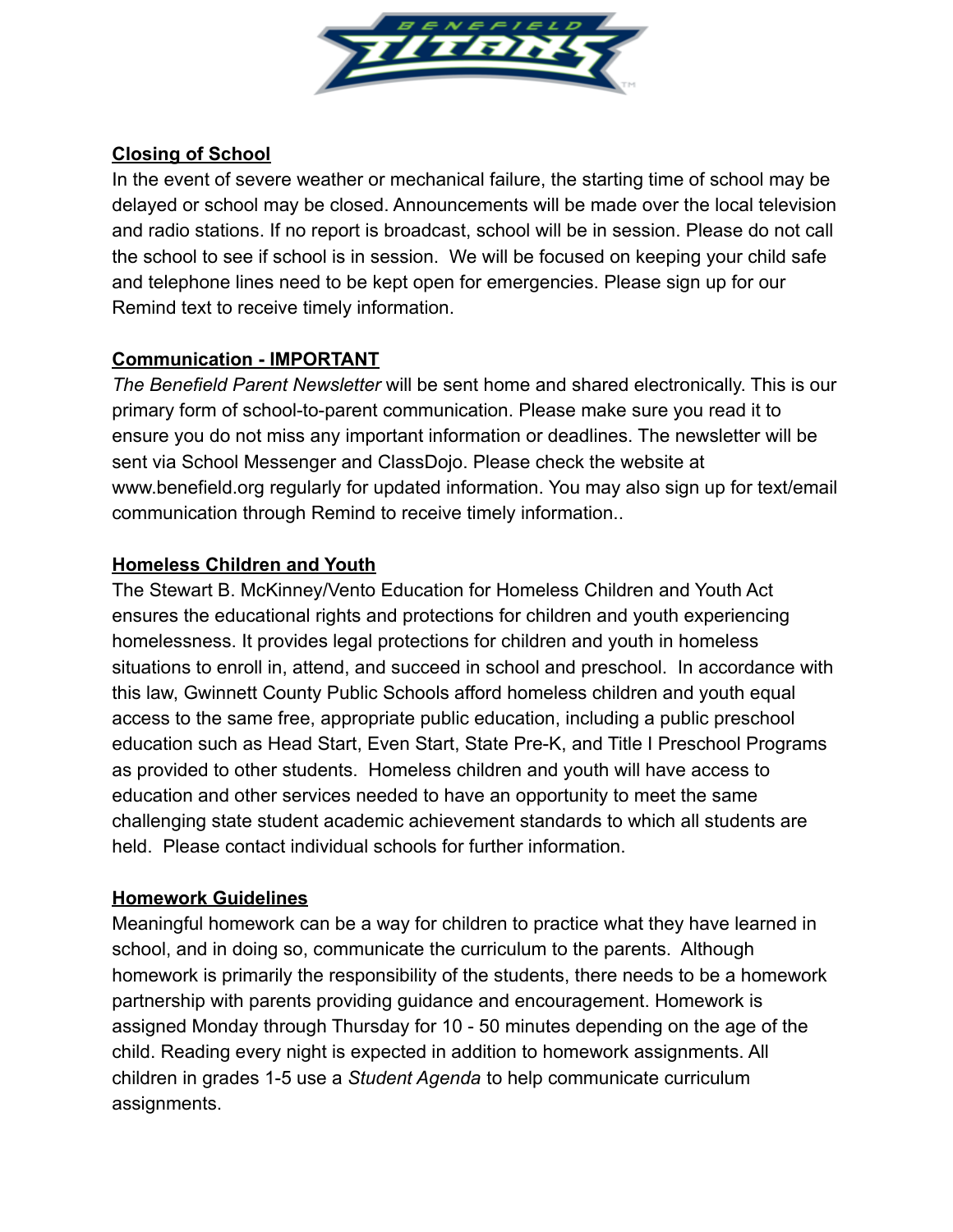

## **Closing of School**

In the event of severe weather or mechanical failure, the starting time of school may be delayed or school may be closed. Announcements will be made over the local television and radio stations. If no report is broadcast, school will be in session. Please do not call the school to see if school is in session. We will be focused on keeping your child safe and telephone lines need to be kept open for emergencies. Please sign up for our Remind text to receive timely information.

## **Communication - IMPORTANT**

*The Benefield Parent Newsletter* will be sent home and shared electronically. This is our primary form of school-to-parent communication. Please make sure you read it to ensure you do not miss any important information or deadlines. The newsletter will be sent via School Messenger and ClassDojo. Please check the website at www.benefield.org regularly for updated information. You may also sign up for text/email communication through Remind to receive timely information..

## **Homeless Children and Youth**

The Stewart B. McKinney/Vento Education for Homeless Children and Youth Act ensures the educational rights and protections for children and youth experiencing homelessness. It provides legal protections for children and youth in homeless situations to enroll in, attend, and succeed in school and preschool. In accordance with this law, Gwinnett County Public Schools afford homeless children and youth equal access to the same free, appropriate public education, including a public preschool education such as Head Start, Even Start, State Pre-K, and Title I Preschool Programs as provided to other students. Homeless children and youth will have access to education and other services needed to have an opportunity to meet the same challenging state student academic achievement standards to which all students are held. Please contact individual schools for further information.

## **Homework Guidelines**

Meaningful homework can be a way for children to practice what they have learned in school, and in doing so, communicate the curriculum to the parents. Although homework is primarily the responsibility of the students, there needs to be a homework partnership with parents providing guidance and encouragement. Homework is assigned Monday through Thursday for 10 - 50 minutes depending on the age of the child. Reading every night is expected in addition to homework assignments. All children in grades 1-5 use a *Student Agenda* to help communicate curriculum assignments.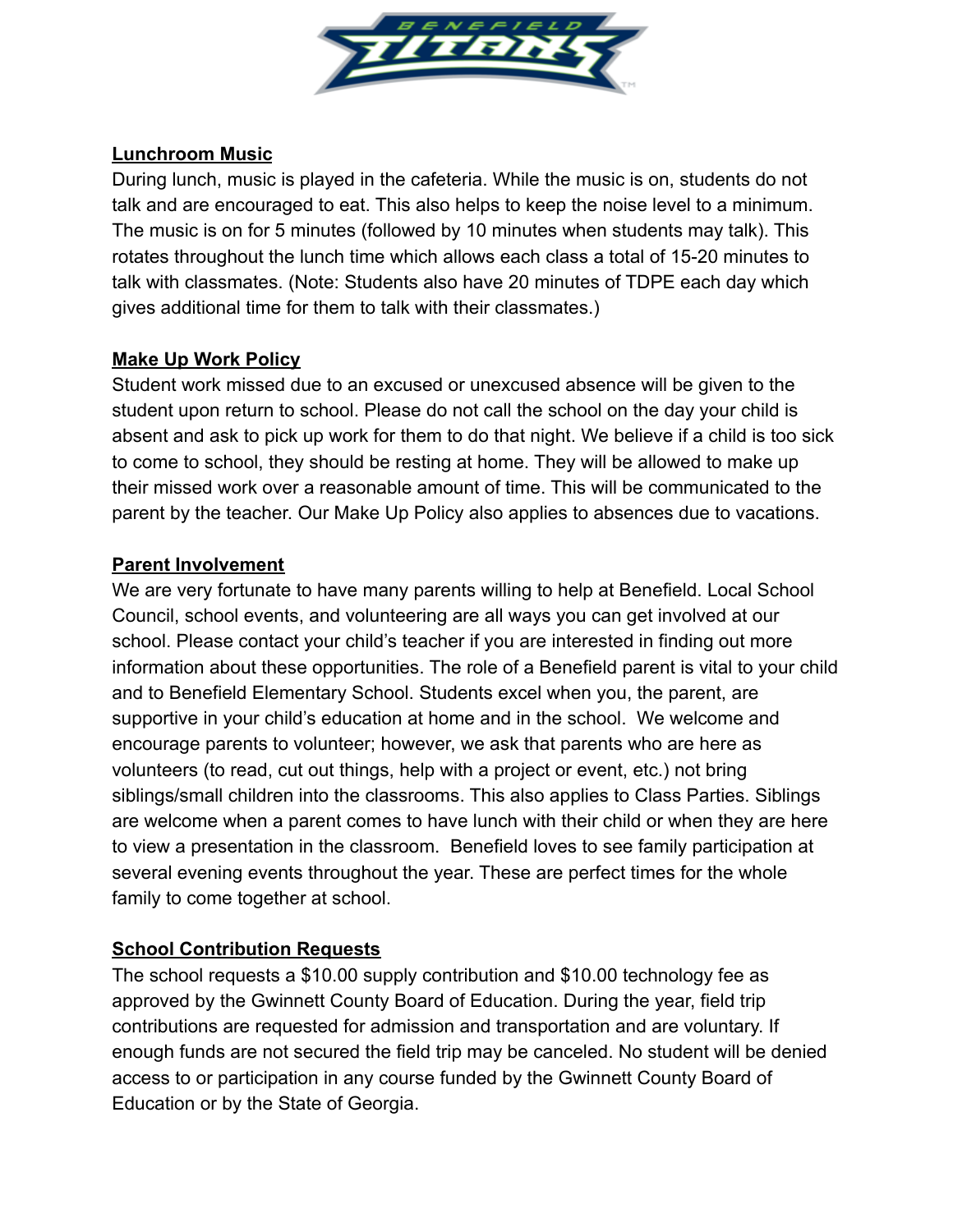

## **Lunchroom Music**

During lunch, music is played in the cafeteria. While the music is on, students do not talk and are encouraged to eat. This also helps to keep the noise level to a minimum. The music is on for 5 minutes (followed by 10 minutes when students may talk). This rotates throughout the lunch time which allows each class a total of 15-20 minutes to talk with classmates. (Note: Students also have 20 minutes of TDPE each day which gives additional time for them to talk with their classmates.)

## **Make Up Work Policy**

Student work missed due to an excused or unexcused absence will be given to the student upon return to school. Please do not call the school on the day your child is absent and ask to pick up work for them to do that night. We believe if a child is too sick to come to school, they should be resting at home. They will be allowed to make up their missed work over a reasonable amount of time. This will be communicated to the parent by the teacher. Our Make Up Policy also applies to absences due to vacations.

## **Parent Involvement**

We are very fortunate to have many parents willing to help at Benefield. Local School Council, school events, and volunteering are all ways you can get involved at our school. Please contact your child's teacher if you are interested in finding out more information about these opportunities. The role of a Benefield parent is vital to your child and to Benefield Elementary School. Students excel when you, the parent, are supportive in your child's education at home and in the school. We welcome and encourage parents to volunteer; however, we ask that parents who are here as volunteers (to read, cut out things, help with a project or event, etc.) not bring siblings/small children into the classrooms. This also applies to Class Parties. Siblings are welcome when a parent comes to have lunch with their child or when they are here to view a presentation in the classroom. Benefield loves to see family participation at several evening events throughout the year. These are perfect times for the whole family to come together at school.

## **School Contribution Requests**

The school requests a \$10.00 supply contribution and \$10.00 technology fee as approved by the Gwinnett County Board of Education. During the year, field trip contributions are requested for admission and transportation and are voluntary. If enough funds are not secured the field trip may be canceled. No student will be denied access to or participation in any course funded by the Gwinnett County Board of Education or by the State of Georgia.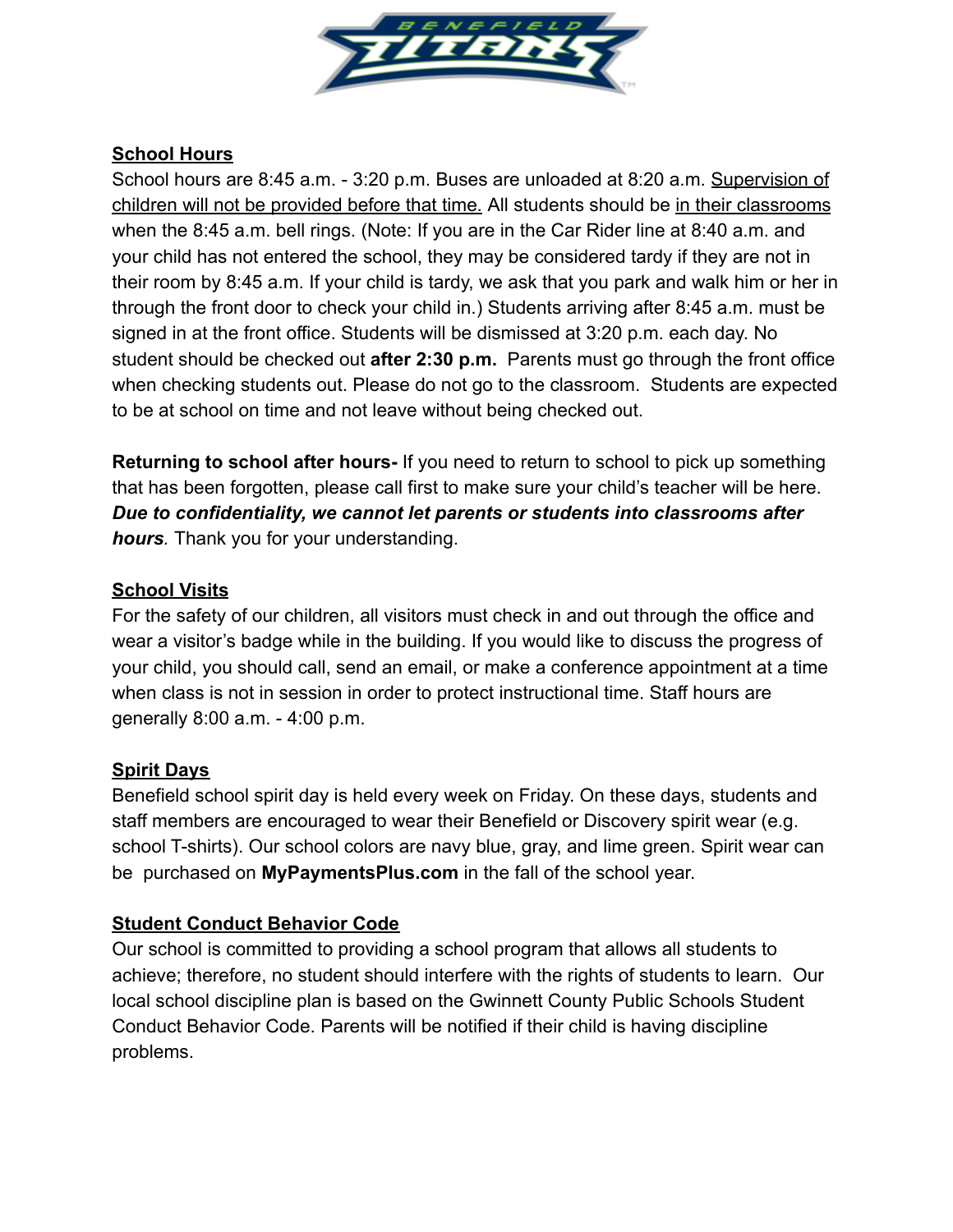

## **School Hours**

School hours are 8:45 a.m. - 3:20 p.m. Buses are unloaded at 8:20 a.m. Supervision of children will not be provided before that time*.* All students should be in their classrooms when the 8:45 a.m. bell rings. (Note: If you are in the Car Rider line at 8:40 a.m. and your child has not entered the school, they may be considered tardy if they are not in their room by 8:45 a.m. If your child is tardy, we ask that you park and walk him or her in through the front door to check your child in.) Students arriving after 8:45 a.m. must be signed in at the front office. Students will be dismissed at 3:20 p.m. each day. No student should be checked out **after 2:30 p.m.** Parents must go through the front office when checking students out. Please do not go to the classroom. Students are expected to be at school on time and not leave without being checked out.

**Returning to school after hours-** If you need to return to school to pick up something that has been forgotten, please call first to make sure your child's teacher will be here. *Due to confidentiality, we cannot let parents or students into classrooms after hours.* Thank you for your understanding.

## **School Visits**

For the safety of our children, all visitors must check in and out through the office and wear a visitor's badge while in the building. If you would like to discuss the progress of your child, you should call, send an email, or make a conference appointment at a time when class is not in session in order to protect instructional time. Staff hours are generally 8:00 a.m. - 4:00 p.m.

## **Spirit Days**

Benefield school spirit day is held every week on Friday. On these days, students and staff members are encouraged to wear their Benefield or Discovery spirit wear (e.g. school T-shirts). Our school colors are navy blue, gray, and lime green. Spirit wear can be purchased on **MyPaymentsPlus.com** in the fall of the school year.

## **Student Conduct Behavior Code**

Our school is committed to providing a school program that allows all students to achieve; therefore, no student should interfere with the rights of students to learn. Our local school discipline plan is based on the Gwinnett County Public Schools Student Conduct Behavior Code. Parents will be notified if their child is having discipline problems.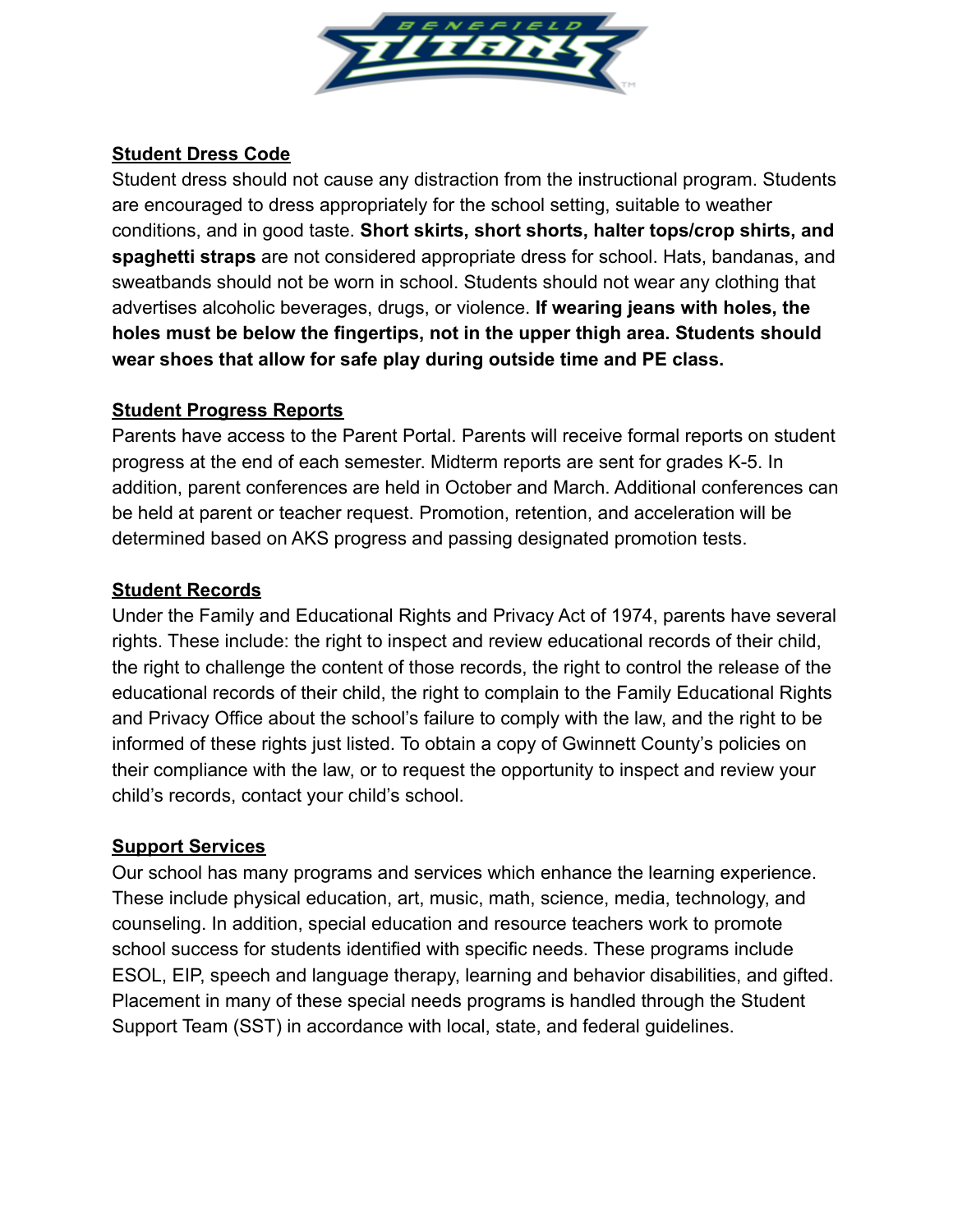

## **Student Dress Code**

Student dress should not cause any distraction from the instructional program. Students are encouraged to dress appropriately for the school setting, suitable to weather conditions, and in good taste. **Short skirts, short shorts, halter tops/crop shirts, and spaghetti straps** are not considered appropriate dress for school. Hats, bandanas, and sweatbands should not be worn in school. Students should not wear any clothing that advertises alcoholic beverages, drugs, or violence. **If wearing jeans with holes, the holes must be below the fingertips, not in the upper thigh area. Students should wear shoes that allow for safe play during outside time and PE class.**

## **Student Progress Reports**

Parents have access to the Parent Portal. Parents will receive formal reports on student progress at the end of each semester. Midterm reports are sent for grades K-5. In addition, parent conferences are held in October and March. Additional conferences can be held at parent or teacher request. Promotion, retention, and acceleration will be determined based on AKS progress and passing designated promotion tests.

#### **Student Records**

Under the Family and Educational Rights and Privacy Act of 1974, parents have several rights. These include: the right to inspect and review educational records of their child, the right to challenge the content of those records, the right to control the release of the educational records of their child, the right to complain to the Family Educational Rights and Privacy Office about the school's failure to comply with the law, and the right to be informed of these rights just listed. To obtain a copy of Gwinnett County's policies on their compliance with the law, or to request the opportunity to inspect and review your child's records, contact your child's school.

## **Support Services**

Our school has many programs and services which enhance the learning experience. These include physical education, art, music, math, science, media, technology, and counseling. In addition, special education and resource teachers work to promote school success for students identified with specific needs. These programs include ESOL, EIP, speech and language therapy, learning and behavior disabilities, and gifted. Placement in many of these special needs programs is handled through the Student Support Team (SST) in accordance with local, state, and federal guidelines.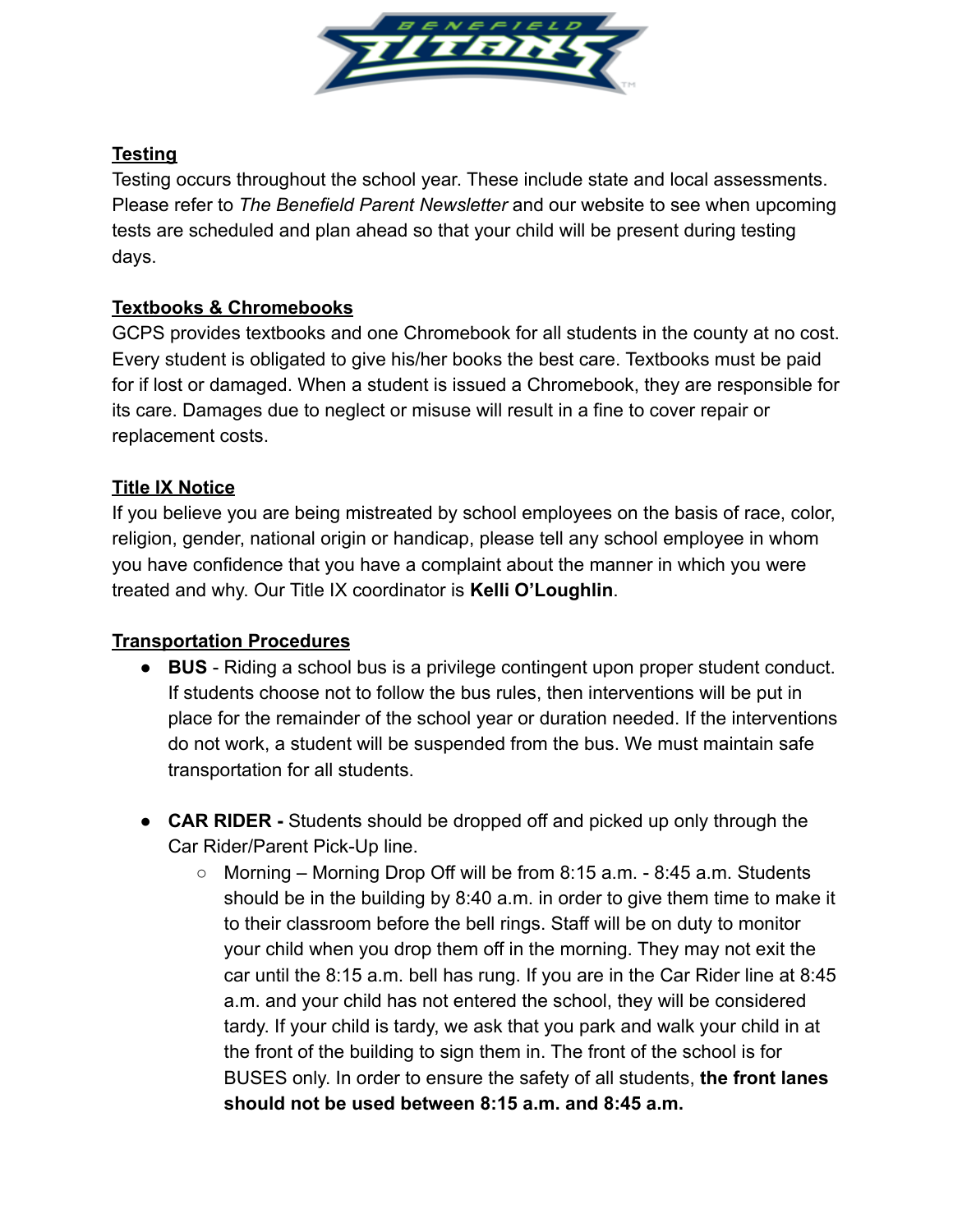

# **Testing**

Testing occurs throughout the school year. These include state and local assessments. Please refer to *The Benefield Parent Newsletter* and our website to see when upcoming tests are scheduled and plan ahead so that your child will be present during testing days.

## **Textbooks & Chromebooks**

GCPS provides textbooks and one Chromebook for all students in the county at no cost. Every student is obligated to give his/her books the best care. Textbooks must be paid for if lost or damaged. When a student is issued a Chromebook, they are responsible for its care. Damages due to neglect or misuse will result in a fine to cover repair or replacement costs.

## **Title IX Notice**

If you believe you are being mistreated by school employees on the basis of race, color, religion, gender, national origin or handicap, please tell any school employee in whom you have confidence that you have a complaint about the manner in which you were treated and why. Our Title IX coordinator is **Kelli O'Loughlin**.

## **Transportation Procedures**

- **BUS** Riding a school bus is a privilege contingent upon proper student conduct. If students choose not to follow the bus rules, then interventions will be put in place for the remainder of the school year or duration needed. If the interventions do not work, a student will be suspended from the bus. We must maintain safe transportation for all students.
- **CAR RIDER** Students should be dropped off and picked up only through the Car Rider/Parent Pick-Up line.
	- Morning Morning Drop Off will be from 8:15 a.m. 8:45 a.m. Students should be in the building by 8:40 a.m. in order to give them time to make it to their classroom before the bell rings. Staff will be on duty to monitor your child when you drop them off in the morning. They may not exit the car until the 8:15 a.m. bell has rung. If you are in the Car Rider line at 8:45 a.m. and your child has not entered the school, they will be considered tardy. If your child is tardy, we ask that you park and walk your child in at the front of the building to sign them in. The front of the school is for BUSES only. In order to ensure the safety of all students, **the front lanes should not be used between 8:15 a.m. and 8:45 a.m.**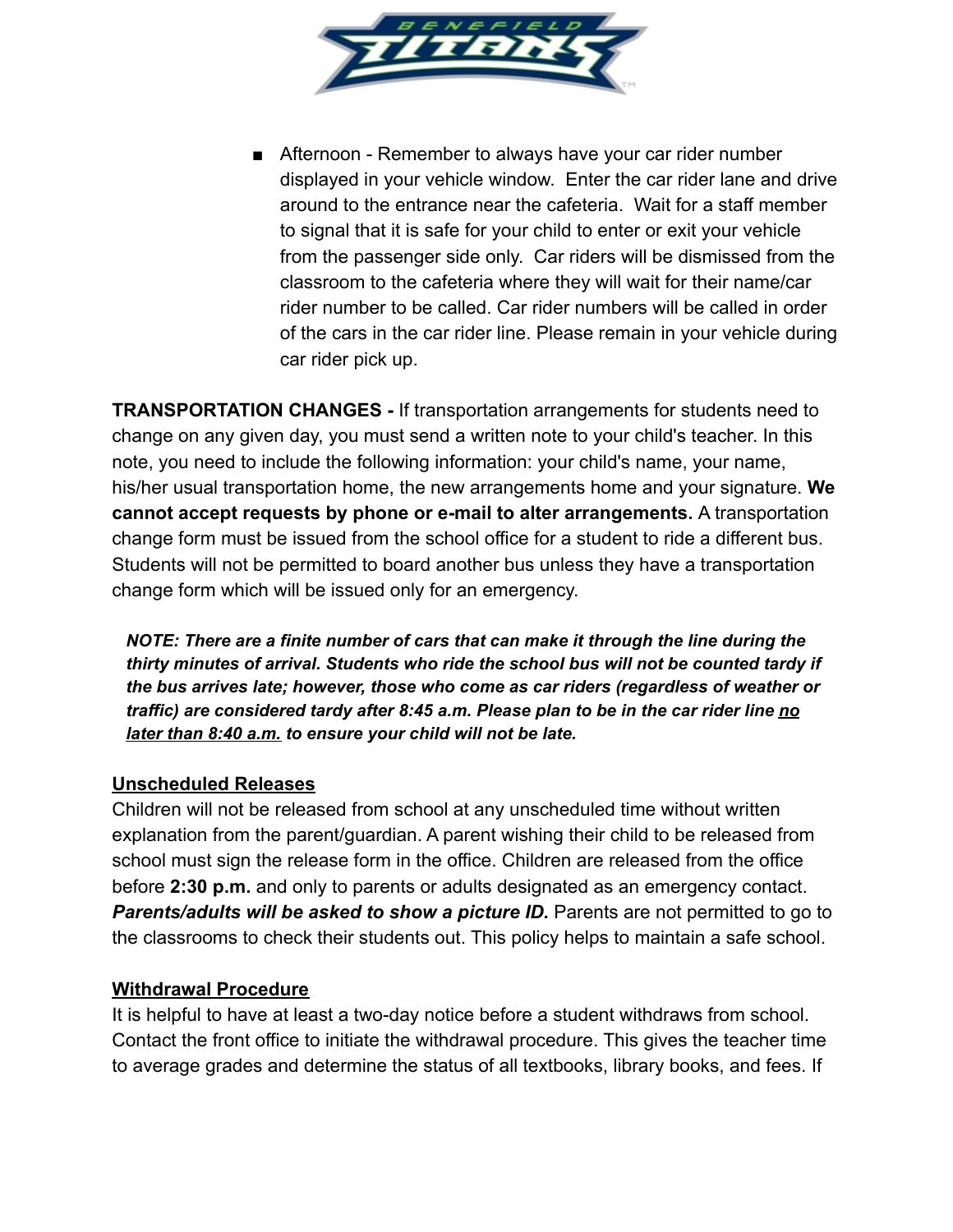

■ Afternoon - Remember to always have your car rider number displayed in your vehicle window. Enter the car rider lane and drive around to the entrance near the cafeteria. Wait for a staff member to signal that it is safe for your child to enter or exit your vehicle from the passenger side only. Car riders will be dismissed from the classroom to the cafeteria where they will wait for their name/car rider number to be called. Car rider numbers will be called in order of the cars in the car rider line. Please remain in your vehicle during car rider pick up.

**TRANSPORTATION CHANGES -** If transportation arrangements for students need to change on any given day, you must send a written note to your child's teacher. In this note, you need to include the following information: your child's name, your name, his/her usual transportation home, the new arrangements home and your signature. **We cannot accept requests by phone or e-mail to alter arrangements.** A transportation change form must be issued from the school office for a student to ride a different bus. Students will not be permitted to board another bus unless they have a transportation change form which will be issued only for an emergency.

*NOTE: There are a finite number of cars that can make it through the line during the thirty minutes of arrival. Students who ride the school bus will not be counted tardy if the bus arrives late; however, those who come as car riders (regardless of weather or traffic) are considered tardy after 8:45 a.m. Please plan to be in the car rider line no later than 8:40 a.m. to ensure your child will not be late.*

#### **Unscheduled Releases**

Children will not be released from school at any unscheduled time without written explanation from the parent/guardian. A parent wishing their child to be released from school must sign the release form in the office. Children are released from the office before **2:30 p.m.** and only to parents or adults designated as an emergency contact. **Parents/adults will be asked to show a picture ID.** Parents are not permitted to go to the classrooms to check their students out. This policy helps to maintain a safe school.

#### **Withdrawal Procedure**

It is helpful to have at least a two-day notice before a student withdraws from school. Contact the front office to initiate the withdrawal procedure. This gives the teacher time to average grades and determine the status of all textbooks, library books, and fees. If